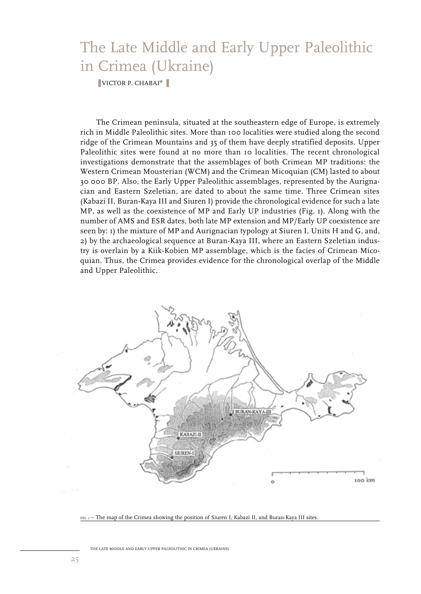# The Late Middle and Early Upper Paleolithic in Crimea (Ukraine)

❚ VICTOR P. CHABAI\* ❚

The Crimean peninsula, situated at the southeastern edge of Europe, is extremely rich in Middle Paleolithic sites. More than 100 localities were studied along the second ridge of the Crimean Mountains and 35 of them have deeply stratified deposits. Upper Paleolithic sites were found at no more than 10 localities. The recent chronological investigations demonstrate that the assemblages of both Crimean MP traditions: the Western Crimean Mousterian (WCM) and the Crimean Micoquian (CM) lasted to about 30 000 BP. Also, the Early Upper Paleolithic assemblages, represented by the Aurignacian and Eastern Szeletian, are dated to about the same time. Three Crimean sites (Kabazi II, Buran-Kaya III and Siuren I) provide the chronological evidence for such a late MP, as well as the coexistence of MP and Early UP industries (Fig. 1). Along with the number of AMS and ESR dates, both late MP extension and MP/Early UP coexistence are seen by: 1) the mixture of MP and Aurignacian typology at Siuren I, Units H and G, and, 2) by the archaeological sequence at Buran-Kaya III, where an Eastern Szeletian industry is overlain by a Kiik-Kobien MP assemblage, which is the facies of Crimean Micoquian. Thus, the Crimea provides evidence for the chronological overlap of the Middle and Upper Paleolithic.



FIG. 1 – The map of the Crimea showing the position of Siuren I, Kabazi II, and Buran-Kaya III sites.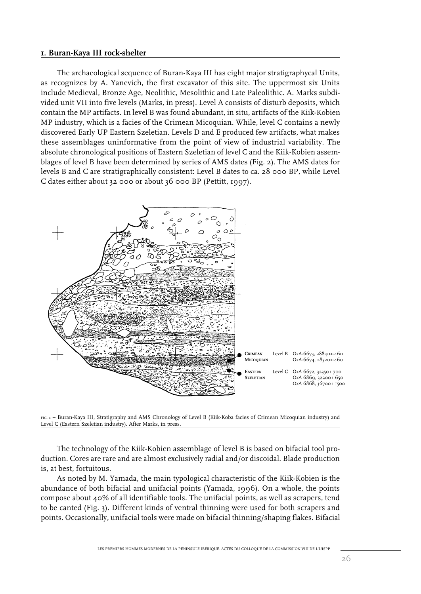## **1. Buran-Kaya III rock-shelter**

The archaeological sequence of Buran-Kaya III has eight major stratigraphycal Units, as recognizes by A. Yanevich, the first excavator of this site. The uppermost six Units include Medieval, Bronze Age, Neolithic, Mesolithic and Late Paleolithic. A. Marks subdivided unit VII into five levels (Marks, in press). Level A consists of disturb deposits, which contain the MP artifacts. In level B was found abundant, in situ, artifacts of the Kiik-Kobien MP industry, which is a facies of the Crimean Micoquian. While, level C contains a newly discovered Early UP Eastern Szeletian. Levels D and E produced few artifacts, what makes these assemblages uninformative from the point of view of industrial variability. The absolute chronological positions of Eastern Szeletian of level C and the Kiik-Kobien assemblages of level B have been determined by series of AMS dates (Fig. 2). The AMS dates for levels B and C are stratigraphically consistent: Level B dates to ca. 28 000 BP, while Level C dates either about 32 000 or about 36 000 BP (Pettitt, 1997).



FIG. 2 – Buran-Kaya III, Stratigraphy and AMS Chronology of Level B (Kiik-Koba facies of Crimean Micoquian industry) and Level C (Eastern Szeletian industry). After Marks, in press.

The technology of the Kiik-Kobien assemblage of level B is based on bifacial tool production. Cores are rare and are almost exclusively radial and/or discoidal. Blade production is, at best, fortuitous.

As noted by M. Yamada, the main typological characteristic of the Kiik-Kobien is the abundance of both bifacial and unifacial points (Yamada, 1996). On a whole, the points compose about 40% of all identifiable tools. The unifacial points, as well as scrapers, tend to be canted (Fig. 3). Different kinds of ventral thinning were used for both scrapers and points. Occasionally, unifacial tools were made on bifacial thinning/shaping flakes. Bifacial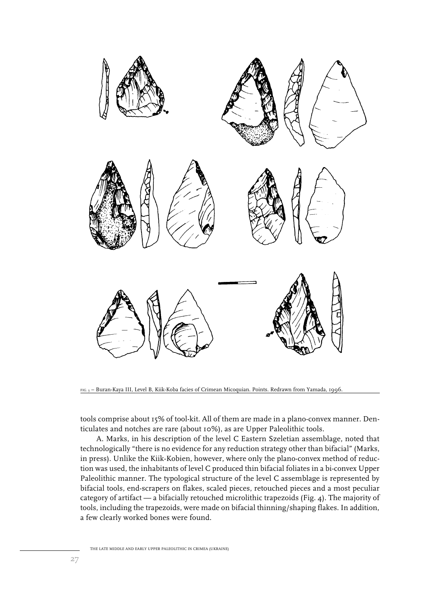

FIG. 3 – Buran-Kaya III, Level B, Kiik-Koba facies of Crimean Micoquian. Points. Redrawn from Yamada, 1996.

tools comprise about 15% of tool-kit. All of them are made in a plano-convex manner. Denticulates and notches are rare (about 10%), as are Upper Paleolithic tools.

A. Marks, in his description of the level C Eastern Szeletian assemblage, noted that technologically "there is no evidence for any reduction strategy other than bifacial" (Marks, in press). Unlike the Kiik-Kobien, however, where only the plano-convex method of reduction was used, the inhabitants of level C produced thin bifacial foliates in a bi-convex Upper Paleolithic manner. The typological structure of the level C assemblage is represented by bifacial tools, end-scrapers on flakes, scaled pieces, retouched pieces and a most peculiar category of artifact — a bifacially retouched microlithic trapezoids (Fig. 4). The majority of tools, including the trapezoids, were made on bifacial thinning/shaping flakes. In addition, a few clearly worked bones were found.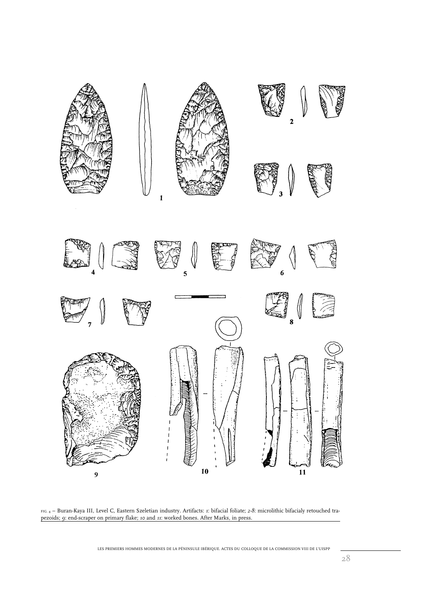

FIG. 4 – Buran-Kaya III, Level C, Eastern Szeletian industry. Artifacts: *1*: bifacial foliate; *2-8*: microlithic bifacialy retouched trapezoids; *9*: end-scraper on primary flake; *10* and *11*: worked bones. After Marks, in press.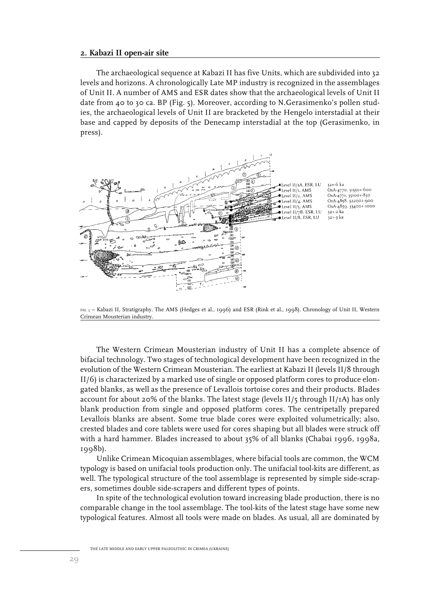### **2. Kabazi II open-air site**

The archaeological sequence at Kabazi II has five Units, which are subdivided into 32 levels and horizons. A chronologically Late MP industry is recognized in the assemblages of Unit II. A number of AMS and ESR dates show that the archaeological levels of Unit II date from 40 to 30 ca. BP (Fig. 5). Moreover, according to N.Gerasimenko's pollen studies, the archaeological levels of Unit II are bracketed by the Hengelo interstadial at their base and capped by deposits of the Denecamp interstadial at the top (Gerasimenko, in press).



FIG. 5 – Kabazi II, Stratigraphy. The AMS (Hedges et al., 1996) and ESR (Rink et al., 1998). Chronology of Unit II, Western Crimean Mousterian industry.

The Western Crimean Mousterian industry of Unit II has a complete absence of bifacial technology. Two stages of technological development have been recognized in the evolution of the Western Crimean Mousterian. The earliest at Kabazi II (levels II/8 through II/6) is characterized by a marked use of single or opposed platform cores to produce elongated blanks, as well as the presence of Levallois tortoise cores and their products. Blades account for about 20% of the blanks. The latest stage (levels  $II/5$  through  $II/1$ A) has only blank production from single and opposed platform cores. The centripetally prepared Levallois blanks are absent. Some true blade cores were exploited volumetrically; also, crested blades and core tablets were used for cores shaping but all blades were struck off with a hard hammer. Blades increased to about 35% of all blanks (Chabai 1996, 1998a, 1998b).

Unlike Crimean Micoquian assemblages, where bifacial tools are common, the WCM typology is based on unifacial tools production only. The unifacial tool-kits are different, as well. The typological structure of the tool assemblage is represented by simple side-scrapers, sometimes double side-scrapers and different types of points.

In spite of the technological evolution toward increasing blade production, there is no comparable change in the tool assemblage. The tool-kits of the latest stage have some new typological features. Almost all tools were made on blades. As usual, all are dominated by

THE LATE MIDDLE AND EARLY UPPER PALEOLITHIC IN CRIMEA (UKRAINE)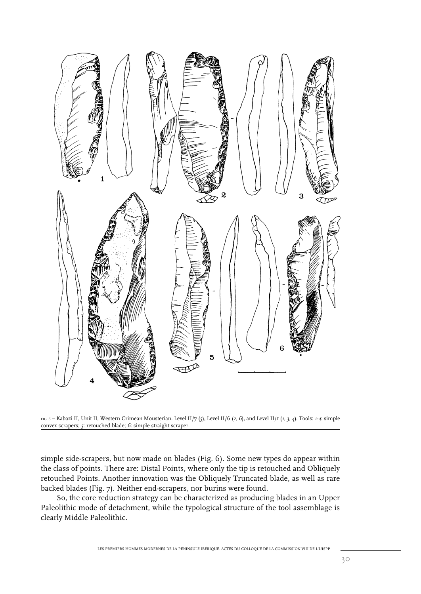

FIG. 6 – Kabazi II, Unit II, Western Crimean Mousterian. Level II/7 (*5*), Level II/6 (*2, 6*), and Level II/1 (*1, 3, 4*). Tools: *1-4*: simple convex scrapers; *5*: retouched blade; *6*: simple straight scraper.

simple side-scrapers, but now made on blades (Fig. 6). Some new types do appear within the class of points. There are: Distal Points, where only the tip is retouched and Obliquely retouched Points. Another innovation was the Obliquely Truncated blade, as well as rare backed blades (Fig. 7). Neither end-scrapers, nor burins were found.

So, the core reduction strategy can be characterized as producing blades in an Upper Paleolithic mode of detachment, while the typological structure of the tool assemblage is clearly Middle Paleolithic.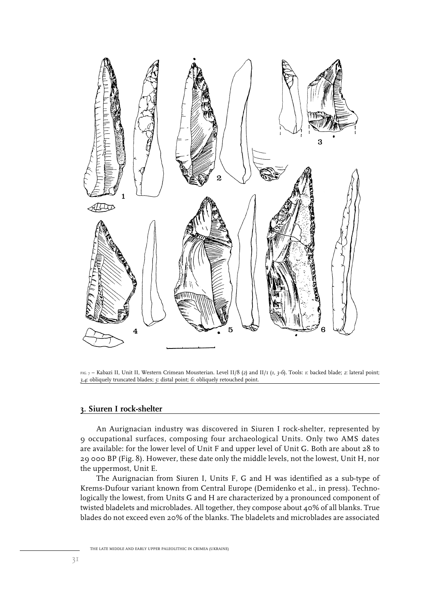

FIG. 7 – Kabazi II, Unit II, Western Crimean Mousterian. Level II/8 (*2*) and II/1 (*1, 3-6*). Tools: *1*: backed blade; *2*: lateral point; *3,4*: obliquely truncated blades; *5*: distal point; *6*: obliquely retouched point.

## **3. Siuren I rock-shelter**

An Aurignacian industry was discovered in Siuren I rock-shelter, represented by 9 occupational surfaces, composing four archaeological Units. Only two AMS dates are available: for the lower level of Unit F and upper level of Unit G. Both are about 28 to 29 000 BP (Fig. 8). However, these date only the middle levels, not the lowest, Unit H, nor the uppermost, Unit E.

The Aurignacian from Siuren I, Units F, G and H was identified as a sub-type of Krems-Dufour variant known from Central Europe (Demidenko et al., in press). Technologically the lowest, from Units G and H are characterized by a pronounced component of twisted bladelets and microblades. All together, they compose about 40% of all blanks. True blades do not exceed even 20% of the blanks. The bladelets and microblades are associated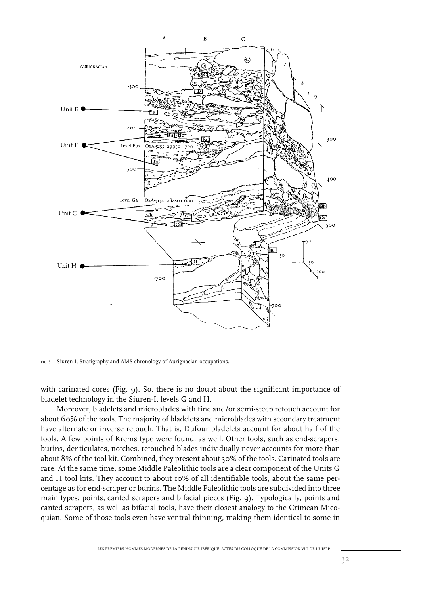



with carinated cores (Fig. 9). So, there is no doubt about the significant importance of bladelet technology in the Siuren-I, levels G and H.

Moreover, bladelets and microblades with fine and/or semi-steep retouch account for about 60% of the tools. The majority of bladelets and microblades with secondary treatment have alternate or inverse retouch. That is, Dufour bladelets account for about half of the tools. A few points of Krems type were found, as well. Other tools, such as end-scrapers, burins, denticulates, notches, retouched blades individually never accounts for more than about 8% of the tool kit. Combined, they present about 30% of the tools. Carinated tools are rare. At the same time, some Middle Paleolithic tools are a clear component of the Units G and H tool kits. They account to about 10% of all identifiable tools, about the same percentage as for end-scraper or burins. The Middle Paleolithic tools are subdivided into three main types: points, canted scrapers and bifacial pieces (Fig. 9). Typologically, points and canted scrapers, as well as bifacial tools, have their closest analogy to the Crimean Micoquian. Some of those tools even have ventral thinning, making them identical to some in

32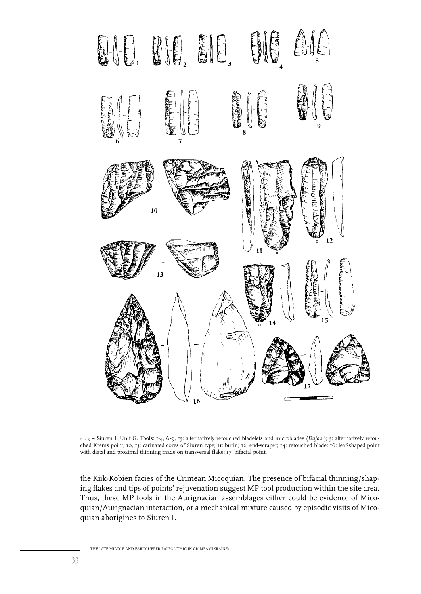



the Kiik-Kobien facies of the Crimean Micoquian. The presence of bifacial thinning/shaping flakes and tips of points' rejuvenation suggest MP tool production within the site area. Thus, these MP tools in the Aurignacian assemblages either could be evidence of Micoquian/Aurignacian interaction, or a mechanical mixture caused by episodic visits of Micoquian aborigines to Siuren I.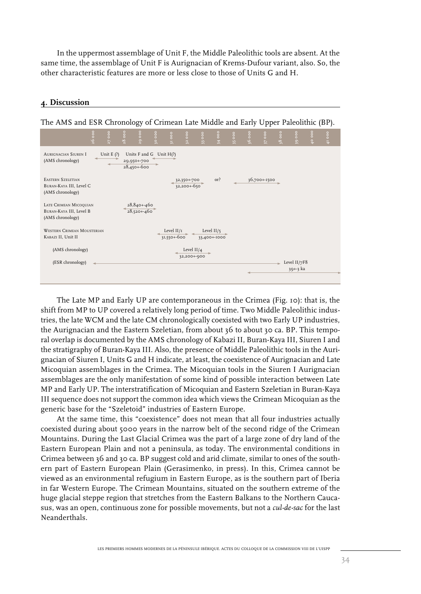In the uppermost assemblage of Unit F, the Middle Paleolithic tools are absent. At the same time, the assemblage of Unit F is Aurignacian of Krems-Dufour variant, also. So, the other characteristic features are more or less close to those of Units G and H.

## **4. Discussion**

| The AMS and ESR Chronology of Crimean Late Middle and Early Upper Paleolithic (BP). |                                              |                                                          |                             |                                 |           |                                           |                                |  |          |
|-------------------------------------------------------------------------------------|----------------------------------------------|----------------------------------------------------------|-----------------------------|---------------------------------|-----------|-------------------------------------------|--------------------------------|--|----------|
| 600                                                                                 | 29 000<br>$28$ 000<br>27000                  | $\circ$<br>$\rm ^{o}$<br>$\frac{8}{3}$<br>$\overline{a}$ | 3200                        | 34000<br>$\frac{1}{3}$ ooo      | $35$ $00$ | 36 000<br>$\frac{1}{2}$<br>$\overline{5}$ | $\frac{1}{39}$ ooo<br>38000    |  | $41$ 000 |
| <b>AURIGNACIAN SIUREN I</b><br>(AMS chronology)                                     | Unit $E(?)$<br>29,950+-700<br>$28,450 + 600$ | Units $F$ and $G$ Unit $H(?)$                            |                             |                                 |           |                                           |                                |  |          |
| <b>EASTERN SZELETIAN</b><br>BURAN-KAYA III, Level C<br>(AMS chronology)             |                                              |                                                          | 32,350+-700<br>32,200+-650  | or?                             |           | 36,700+-1500                              |                                |  |          |
| LATE CRIMEAN MICOQUIAN<br>BURAN-KAYA III, Level B<br>(AMS chronology)               | 28,840+-460<br>$28,520 + 460$                |                                                          |                             |                                 |           |                                           |                                |  |          |
| <b>WESTERN CRIMEAN MOUSTERIAN</b><br>KABAZI II, Unit II                             |                                              |                                                          | Level $II/I$<br>31,550+-600 | Level $II/\tau$<br>33,400+-1000 |           |                                           |                                |  |          |
| (AMS chronology)                                                                    |                                              |                                                          | Level $II/4$<br>32,200+-900 |                                 |           |                                           |                                |  |          |
| (ESR chronology)                                                                    |                                              |                                                          |                             |                                 |           |                                           | Level $II/7F8$<br>$39 + -3$ ka |  |          |
|                                                                                     |                                              |                                                          |                             |                                 |           |                                           |                                |  |          |

The AMS and ESR Chronology of Crimean Late Middle and Early Upper Paleolithic (BP).

The Late MP and Early UP are contemporaneous in the Crimea (Fig. 10): that is, the shift from MP to UP covered a relatively long period of time. Two Middle Paleolithic industries, the late WCM and the late CM chronologically coexisted with two Early UP industries, the Aurignacian and the Eastern Szeletian, from about 36 to about 30 ca. BP. This temporal overlap is documented by the AMS chronology of Kabazi II, Buran-Kaya III, Siuren I and the stratigraphy of Buran-Kaya III. Also, the presence of Middle Paleolithic tools in the Aurignacian of Siuren I, Units G and H indicate, at least, the coexistence of Aurignacian and Late Micoquian assemblages in the Crimea. The Micoquian tools in the Siuren I Aurignacian assemblages are the only manifestation of some kind of possible interaction between Late MP and Early UP. The interstratification of Micoquian and Eastern Szeletian in Buran-Kaya III sequence does not support the common idea which views the Crimean Micoquian as the generic base for the "Szeletoid" industries of Eastern Europe.

At the same time, this "coexistence" does not mean that all four industries actually coexisted during about 5000 years in the narrow belt of the second ridge of the Crimean Mountains. During the Last Glacial Crimea was the part of a large zone of dry land of the Eastern European Plain and not a peninsula, as today. The environmental conditions in Crimea between 36 and 30 ca. BP suggest cold and arid climate, similar to ones of the southern part of Eastern European Plain (Gerasimenko, in press). In this, Crimea cannot be viewed as an environmental refugium in Eastern Europe, as is the southern part of Iberia in far Western Europe. The Crimean Mountains, situated on the southern extreme of the huge glacial steppe region that stretches from the Eastern Balkans to the Northern Caucasus, was an open, continuous zone for possible movements, but not a *cul-de-sac* for the last Neanderthals.